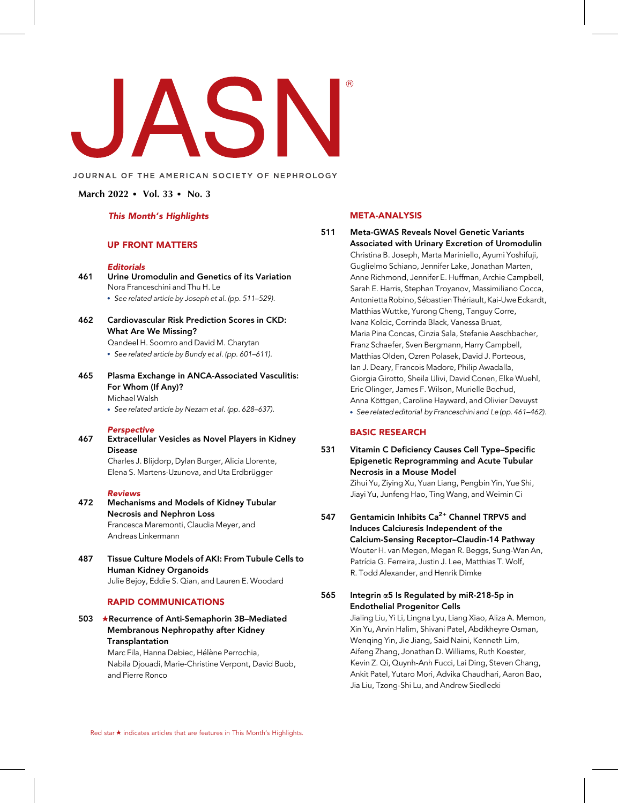

### JOURNAL OF THE AMERICAN SOCIETY OF NEPHROLOGY

### March 2022  $\bullet$  Vol. 33  $\bullet$  No. 3

#### This Month's Highlights

#### UP FRONT MATTERS

#### Editorials

### 461 Urine Uromodulin and Genetics of its Variation Nora Franceschini and Thu H. Le

See related article by Joseph et al. (pp. 511–529).

462 Cardiovascular Risk Prediction Scores in CKD: What Are We Missing?

Qandeel H. Soomro and David M. Charytan

- See related article by Bundy et al. (pp. 601–611).
- 465 Plasma Exchange in ANCA-Associated Vasculitis: For Whom (If Any)? Michael Walsh

See related article by Nezam et al. (pp. 628–637).

#### **Perspective**

467 Extracellular Vesicles as Novel Players in Kidney Disease

Charles J. Blijdorp, Dylan Burger, Alicia Llorente, Elena S. Martens-Uzunova, and Uta Erdbrügger

#### Reviews

#### 472 Mechanisms and Models of Kidney Tubular Necrosis and Nephron Loss Francesca Maremonti, Claudia Meyer, and Andreas Linkermann

487 Tissue Culture Models of AKI: From Tubule Cells to Human Kidney Organoids Julie Bejoy, Eddie S. Qian, and Lauren E. Woodard

#### RAPID COMMUNICATIONS

## 503 ★Recurrence of Anti-Semaphorin 3B–Mediated Membranous Nephropathy after Kidney Transplantation

Marc Fila, Hanna Debiec, Hélène Perrochia, Nabila Djouadi, Marie-Christine Verpont, David Buob, and Pierre Ronco

## META-ANALYSIS

511 Meta-GWAS Reveals Novel Genetic Variants Associated with Urinary Excretion of Uromodulin Christina B. Joseph, Marta Mariniello, Ayumi Yoshifuji, Guglielmo Schiano, Jennifer Lake, Jonathan Marten, Anne Richmond, Jennifer E. Huffman, Archie Campbell, Sarah E. Harris, Stephan Troyanov, Massimiliano Cocca, Antonietta Robino, Sébastien Thériault, Kai-Uwe Eckardt, Matthias Wuttke, Yurong Cheng, Tanguy Corre, Ivana Kolcic, Corrinda Black, Vanessa Bruat, Maria Pina Concas, Cinzia Sala, Stefanie Aeschbacher, Franz Schaefer, Sven Bergmann, Harry Campbell, Matthias Olden, Ozren Polasek, David J. Porteous, Ian J. Deary, Francois Madore, Philip Awadalla, Giorgia Girotto, Sheila Ulivi, David Conen, Elke Wuehl, Eric Olinger, James F. Wilson, Murielle Bochud, Anna Köttgen, Caroline Hayward, and Olivier Devuyst See related editorial by Franceschini and Le (pp. 461–462).

#### BASIC RESEARCH

### 531 Vitamin C Deficiency Causes Cell Type–Specific Epigenetic Reprogramming and Acute Tubular Necrosis in a Mouse Model Zihui Yu, Ziying Xu, Yuan Liang, Pengbin Yin, Yue Shi, Jiayi Yu, Junfeng Hao, Ting Wang, and Weimin Ci

547 Gentamicin Inhibits  $Ca^{2+}$  Channel TRPV5 and Induces Calciuresis Independent of the Calcium-Sensing Receptor–Claudin-14 Pathway Wouter H. van Megen, Megan R. Beggs, Sung-Wan An, Patrícia G. Ferreira, Justin J. Lee, Matthias T. Wolf, R. Todd Alexander, and Henrik Dimke

## 565 Integrin  $\alpha$ 5 Is Regulated by miR-218-5p in Endothelial Progenitor Cells

Jialing Liu, Yi Li, Lingna Lyu, Liang Xiao, Aliza A. Memon, Xin Yu, Arvin Halim, Shivani Patel, Abdikheyre Osman, Wenqing Yin, Jie Jiang, Said Naini, Kenneth Lim, Aifeng Zhang, Jonathan D. Williams, Ruth Koester, Kevin Z. Qi, Quynh-Anh Fucci, Lai Ding, Steven Chang, Ankit Patel, Yutaro Mori, Advika Chaudhari, Aaron Bao, Jia Liu, Tzong-Shi Lu, and Andrew Siedlecki